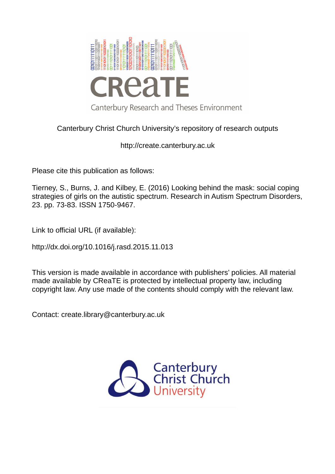

## Canterbury Christ Church University's repository of research outputs

http://create.canterbury.ac.uk

Please cite this publication as follows:

Tierney, S., Burns, J. and Kilbey, E. (2016) Looking behind the mask: social coping strategies of girls on the autistic spectrum. Research in Autism Spectrum Disorders, 23. pp. 73-83. ISSN 1750-9467.

Link to official URL (if available):

http://dx.doi.org/10.1016/j.rasd.2015.11.013

This version is made available in accordance with publishers' policies. All material made available by CReaTE is protected by intellectual property law, including copyright law. Any use made of the contents should comply with the relevant law.

Contact: create.library@canterbury.ac.uk

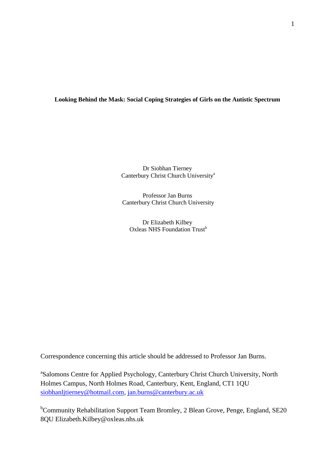## **Looking Behind the Mask: Social Coping Strategies of Girls on the Autistic Spectrum**

Dr Siobhan Tierney Canterbury Christ Church University<sup>a</sup>

Professor Jan Burns Canterbury Christ Church University

Dr Elizabeth Kilbey Oxleas NHS Foundation Trust<sup>b</sup>

Correspondence concerning this article should be addressed to Professor Jan Burns.

<sup>a</sup>Salomons Centre for Applied Psychology, Canterbury Christ Church University, North Holmes Campus, North Holmes Road, Canterbury, Kent, England, CT1 1QU [siobhanljtierney@hotmail.com,](mailto:siobhanljtierney@hotmail.com) [jan.burns@canterbury.ac.uk](mailto:jan.burns@canterbury.ac.uk)

<sup>b</sup>Community Rehabilitation Support Team Bromley, 2 Blean Grove, Penge, England, SE20 8QU Elizabeth.Kilbey@oxleas.nhs.uk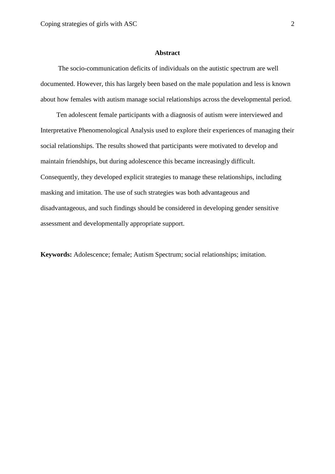#### **Abstract**

 The socio-communication deficits of individuals on the autistic spectrum are well documented. However, this has largely been based on the male population and less is known about how females with autism manage social relationships across the developmental period.

Ten adolescent female participants with a diagnosis of autism were interviewed and Interpretative Phenomenological Analysis used to explore their experiences of managing their social relationships. The results showed that participants were motivated to develop and maintain friendships, but during adolescence this became increasingly difficult. Consequently, they developed explicit strategies to manage these relationships, including masking and imitation. The use of such strategies was both advantageous and disadvantageous, and such findings should be considered in developing gender sensitive assessment and developmentally appropriate support.

**Keywords:** Adolescence; female; Autism Spectrum; social relationships; imitation.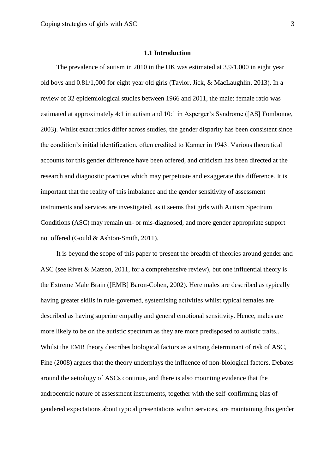## **1.1 Introduction**

The prevalence of autism in 2010 in the UK was estimated at 3.9/1,000 in eight year old boys and 0.81/1,000 for eight year old girls (Taylor, Jick, & MacLaughlin, 2013). In a review of 32 epidemiological studies between 1966 and 2011, the male: female ratio was estimated at approximately 4:1 in autism and 10:1 in Asperger's Syndrome ([AS] Fombonne, 2003). Whilst exact ratios differ across studies, the gender disparity has been consistent since the condition's initial identification, often credited to Kanner in 1943. Various theoretical accounts for this gender difference have been offered, and criticism has been directed at the research and diagnostic practices which may perpetuate and exaggerate this difference. It is important that the reality of this imbalance and the gender sensitivity of assessment instruments and services are investigated, as it seems that girls with Autism Spectrum Conditions (ASC) may remain un- or mis-diagnosed, and more gender appropriate support not offered (Gould & Ashton-Smith, 2011).

It is beyond the scope of this paper to present the breadth of theories around gender and ASC (see Rivet & Matson, 2011, for a comprehensive review), but one influential theory is the Extreme Male Brain ([EMB] Baron-Cohen, 2002). Here males are described as typically having greater skills in rule-governed, systemising activities whilst typical females are described as having superior empathy and general emotional sensitivity. Hence, males are more likely to be on the autistic spectrum as they are more predisposed to autistic traits.. Whilst the EMB theory describes biological factors as a strong determinant of risk of ASC, Fine (2008) argues that the theory underplays the influence of non-biological factors. Debates around the aetiology of ASCs continue, and there is also mounting evidence that the androcentric nature of assessment instruments, together with the self-confirming bias of gendered expectations about typical presentations within services, are maintaining this gender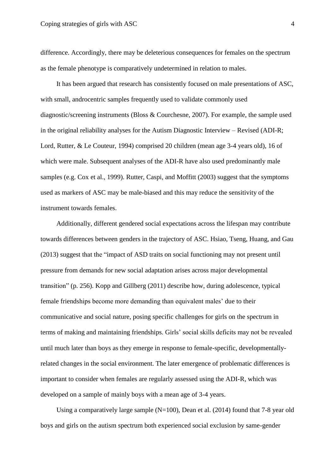difference. Accordingly, there may be deleterious consequences for females on the spectrum as the female phenotype is comparatively undetermined in relation to males.

It has been argued that research has consistently focused on male presentations of ASC, with small, androcentric samples frequently used to validate commonly used diagnostic/screening instruments (Bloss & Courchesne, 2007). For example, the sample used in the original reliability analyses for the Autism Diagnostic Interview – Revised (ADI-R; Lord, Rutter, & Le Couteur, 1994) comprised 20 children (mean age 3-4 years old), 16 of which were male. Subsequent analyses of the ADI-R have also used predominantly male samples (e.g. Cox et al., 1999). Rutter, Caspi, and Moffitt (2003) suggest that the symptoms used as markers of ASC may be male-biased and this may reduce the sensitivity of the instrument towards females.

Additionally, different gendered social expectations across the lifespan may contribute towards differences between genders in the trajectory of ASC. Hsiao, Tseng, Huang, and Gau (2013) suggest that the "impact of ASD traits on social functioning may not present until pressure from demands for new social adaptation arises across major developmental transition" (p. 256). Kopp and Gillberg (2011) describe how, during adolescence, typical female friendships become more demanding than equivalent males' due to their communicative and social nature, posing specific challenges for girls on the spectrum in terms of making and maintaining friendships. Girls' social skills deficits may not be revealed until much later than boys as they emerge in response to female-specific, developmentallyrelated changes in the social environment. The later emergence of problematic differences is important to consider when females are regularly assessed using the ADI-R, which was developed on a sample of mainly boys with a mean age of 3-4 years.

Using a comparatively large sample  $(N=100)$ , Dean et al. (2014) found that 7-8 year old boys and girls on the autism spectrum both experienced social exclusion by same-gender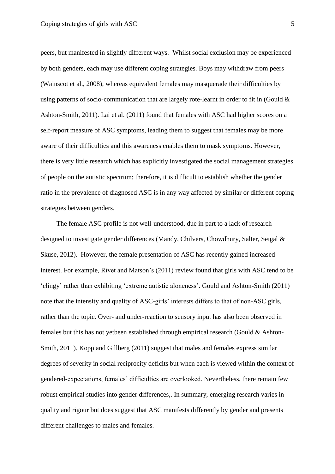peers, but manifested in slightly different ways. Whilst social exclusion may be experienced by both genders, each may use different coping strategies. Boys may withdraw from peers (Wainscot et al., 2008), whereas equivalent females may masquerade their difficulties by using patterns of socio-communication that are largely rote-learnt in order to fit in (Gould  $\&$ Ashton-Smith, 2011). Lai et al. (2011) found that females with ASC had higher scores on a self-report measure of ASC symptoms, leading them to suggest that females may be more aware of their difficulties and this awareness enables them to mask symptoms. However, there is very little research which has explicitly investigated the social management strategies of people on the autistic spectrum; therefore, it is difficult to establish whether the gender ratio in the prevalence of diagnosed ASC is in any way affected by similar or different coping strategies between genders.

The female ASC profile is not well-understood, due in part to a lack of research designed to investigate gender differences (Mandy, Chilvers, Chowdhury, Salter, Seigal & Skuse, 2012). However, the female presentation of ASC has recently gained increased interest. For example, Rivet and Matson's (2011) review found that girls with ASC tend to be 'clingy' rather than exhibiting 'extreme autistic aloneness'. Gould and Ashton-Smith (2011) note that the intensity and quality of ASC-girls' interests differs to that of non-ASC girls, rather than the topic. Over- and under-reaction to sensory input has also been observed in females but this has not yetbeen established through empirical research (Gould & Ashton-Smith, 2011). Kopp and Gillberg (2011) suggest that males and females express similar degrees of severity in social reciprocity deficits but when each is viewed within the context of gendered-expectations, females' difficulties are overlooked. Nevertheless, there remain few robust empirical studies into gender differences,. In summary, emerging research varies in quality and rigour but does suggest that ASC manifests differently by gender and presents different challenges to males and females.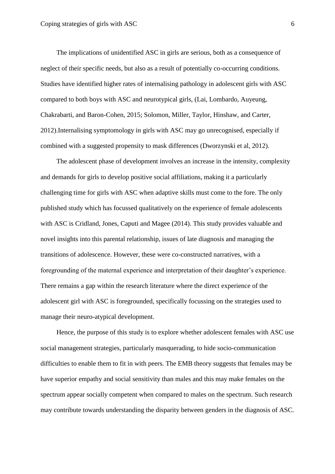The implications of unidentified ASC in girls are serious, both as a consequence of neglect of their specific needs, but also as a result of potentially co-occurring conditions. Studies have identified higher rates of internalising pathology in adolescent girls with ASC compared to both boys with ASC and neurotypical girls, (Lai, Lombardo, Auyeung, Chakrabarti, and Baron-Cohen, 2015; Solomon, Miller, Taylor, Hinshaw, and Carter, 2012).Internalising symptomology in girls with ASC may go unrecognised, especially if combined with a suggested propensity to mask differences (Dworzynski et al, 2012).

The adolescent phase of development involves an increase in the intensity, complexity and demands for girls to develop positive social affiliations, making it a particularly challenging time for girls with ASC when adaptive skills must come to the fore. The only published study which has focussed qualitatively on the experience of female adolescents with ASC is Cridland, Jones, Caputi and Magee (2014). This study provides valuable and novel insights into this parental relationship, issues of late diagnosis and managing the transitions of adolescence. However, these were co-constructed narratives, with a foregrounding of the maternal experience and interpretation of their daughter's experience. There remains a gap within the research literature where the direct experience of the adolescent girl with ASC is foregrounded, specifically focussing on the strategies used to manage their neuro-atypical development.

Hence, the purpose of this study is to explore whether adolescent females with ASC use social management strategies, particularly masquerading, to hide socio-communication difficulties to enable them to fit in with peers. The EMB theory suggests that females may be have superior empathy and social sensitivity than males and this may make females on the spectrum appear socially competent when compared to males on the spectrum. Such research may contribute towards understanding the disparity between genders in the diagnosis of ASC.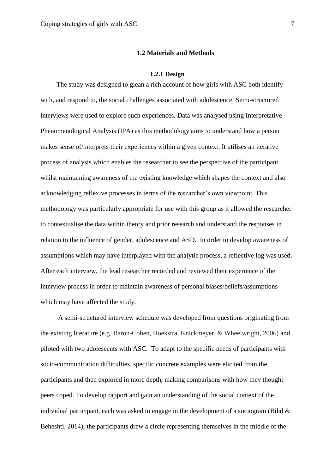## **1.2 Materials and Methods**

#### **1.2.1 Design**

The study was designed to glean a rich account of how girls with ASC both identify with, and respond to, the social challenges associated with adolescence. Semi-structured interviews were used to explore such experiences. Data was analysed using Interpretative Phenomenological Analysis (IPA) as this methodology aims to understand how a person makes sense of/interprets their experiences within a given context. It utilises an iterative process of analysis which enables the researcher to see the perspective of the participant whilst maintaining awareness of the existing knowledge which shapes the context and also acknowledging reflexive processes in terms of the researcher's own viewpoint. This methodology was particularly appropriate for use with this group as it allowed the researcher to contextualise the data within theory and prior research and understand the responses in relation to the influence of gender, adolescence and ASD. In order to develop awareness of assumptions which may have interplayed with the analytic process, a reflective log was used. After each interview, the lead researcher recorded and reviewed their experience of the interview process in order to maintain awareness of personal biases/beliefs/assumptions which may have affected the study.

 A semi-structured interview schedule was developed from questions originating from the existing literature (e.g. Baron-Cohen, Hoekstra, Knickmeyer, & Wheelwright, 2006) and piloted with two adolescents with ASC. To adapt to the specific needs of participants with socio-communication difficulties, specific concrete examples were elicited from the participants and then explored in more depth, making comparisons with how they thought peers coped. To develop rapport and gain an understanding of the social context of the individual participant, each was asked to engage in the development of a sociogram (Bilal & Beheshti, 2014); the participants drew a circle representing themselves in the middle of the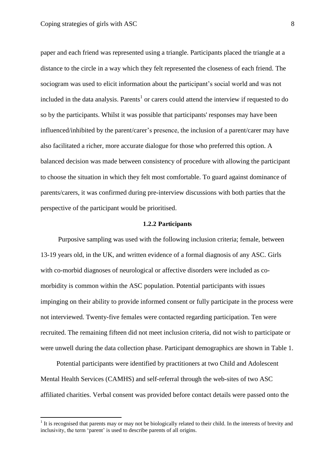$\overline{a}$ 

paper and each friend was represented using a triangle. Participants placed the triangle at a distance to the circle in a way which they felt represented the closeness of each friend. The sociogram was used to elicit information about the participant's social world and was not included in the data analysis. Parents<sup>1</sup> or carers could attend the interview if requested to do so by the participants. Whilst it was possible that participants' responses may have been influenced/inhibited by the parent/carer's presence, the inclusion of a parent/carer may have also facilitated a richer, more accurate dialogue for those who preferred this option. A balanced decision was made between consistency of procedure with allowing the participant to choose the situation in which they felt most comfortable. To guard against dominance of parents/carers, it was confirmed during pre-interview discussions with both parties that the perspective of the participant would be prioritised.

#### **1.2.2 Participants**

 Purposive sampling was used with the following inclusion criteria; female, between 13-19 years old, in the UK, and written evidence of a formal diagnosis of any ASC. Girls with co-morbid diagnoses of neurological or affective disorders were included as comorbidity is common within the ASC population. Potential participants with issues impinging on their ability to provide informed consent or fully participate in the process were not interviewed. Twenty-five females were contacted regarding participation. Ten were recruited. The remaining fifteen did not meet inclusion criteria, did not wish to participate or were unwell during the data collection phase. Participant demographics are shown in Table 1.

Potential participants were identified by practitioners at two Child and Adolescent Mental Health Services (CAMHS) and self-referral through the web-sites of two ASC affiliated charities. Verbal consent was provided before contact details were passed onto the

 $<sup>1</sup>$  It is recognised that parents may or may not be biologically related to their child. In the interests of brevity and</sup> inclusivity, the term 'parent' is used to describe parents of all origins.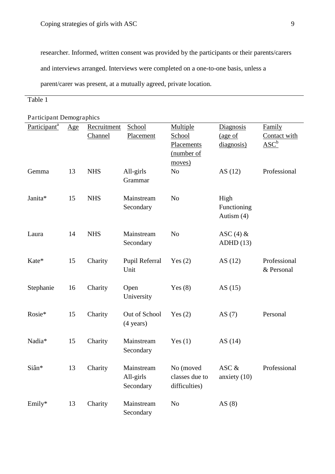researcher. Informed, written consent was provided by the participants or their parents/carers and interviews arranged. Interviews were completed on a one-to-one basis, unless a parent/carer was present, at a mutually agreed, private location.

# Table 1

| Participant <sup>a</sup> | Age | Recruitment | School                               | Multiple                                     | <b>Diagnosis</b>                  | Family                             |
|--------------------------|-----|-------------|--------------------------------------|----------------------------------------------|-----------------------------------|------------------------------------|
|                          |     | Channel     | Placement                            | School<br>Placements<br>(number of<br>moves) | (age of<br>diagnosis)             | Contact with<br>$\overline{ASC}^b$ |
| Gemma                    | 13  | <b>NHS</b>  | All-girls<br>Grammar                 | No                                           | AS $(12)$                         | Professional                       |
| Janita*                  | 15  | <b>NHS</b>  | Mainstream<br>Secondary              | N <sub>o</sub>                               | High<br>Functioning<br>Autism (4) |                                    |
| Laura                    | 14  | <b>NHS</b>  | Mainstream<br>Secondary              | N <sub>o</sub>                               | ASC $(4)$ &<br>ADHD(13)           |                                    |
| Kate*                    | 15  | Charity     | Pupil Referral<br>Unit               | Yes $(2)$                                    | AS(12)                            | Professional<br>& Personal         |
| Stephanie                | 16  | Charity     | Open<br>University                   | Yes $(8)$                                    | AS $(15)$                         |                                    |
| Rosie*                   | 15  | Charity     | Out of School<br>$(4 \text{ years})$ | Yes $(2)$                                    | AS $(7)$                          | Personal                           |
| Nadia*                   | 15  | Charity     | Mainstream<br>Secondary              | Yes $(1)$                                    | AS $(14)$                         |                                    |
| Siân*                    | 13  | Charity     | Mainstream<br>All-girls<br>Secondary | No (moved<br>classes due to<br>difficulties) | ASC &<br>anxiety $(10)$           | Professional                       |
| Emily*                   | 13  | Charity     | Mainstream<br>Secondary              | N <sub>o</sub>                               | AS $(8)$                          |                                    |

Participant Demographics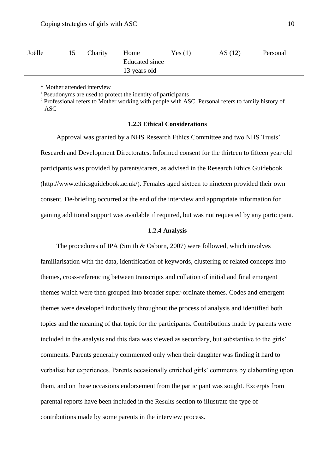| Joëlle | Charity | Home           | Yes(1) | AS $(12)$ | Personal |
|--------|---------|----------------|--------|-----------|----------|
|        |         | Educated since |        |           |          |
|        |         | 13 years old   |        |           |          |

\* Mother attended interview

<sup>a</sup> Pseudonyms are used to protect the identity of participants

<sup>b</sup> Professional refers to Mother working with people with ASC. Personal refers to family history of ASC

## **1.2.3 Ethical Considerations**

Approval was granted by a NHS Research Ethics Committee and two NHS Trusts' Research and Development Directorates. Informed consent for the thirteen to fifteen year old participants was provided by parents/carers, as advised in the Research Ethics Guidebook (http://www.ethicsguidebook.ac.uk/). Females aged sixteen to nineteen provided their own consent. De-briefing occurred at the end of the interview and appropriate information for gaining additional support was available if required, but was not requested by any participant.

#### **1.2.4 Analysis**

The procedures of IPA (Smith & Osborn, 2007) were followed, which involves familiarisation with the data, identification of keywords, clustering of related concepts into themes, cross-referencing between transcripts and collation of initial and final emergent themes which were then grouped into broader super-ordinate themes. Codes and emergent themes were developed inductively throughout the process of analysis and identified both topics and the meaning of that topic for the participants. Contributions made by parents were included in the analysis and this data was viewed as secondary, but substantive to the girls' comments. Parents generally commented only when their daughter was finding it hard to verbalise her experiences. Parents occasionally enriched girls' comments by elaborating upon them, and on these occasions endorsement from the participant was sought. Excerpts from parental reports have been included in the Results section to illustrate the type of contributions made by some parents in the interview process.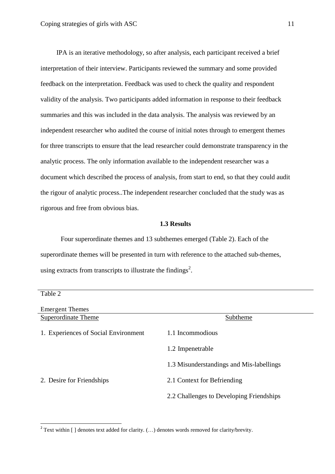IPA is an iterative methodology, so after analysis, each participant received a brief interpretation of their interview. Participants reviewed the summary and some provided feedback on the interpretation. Feedback was used to check the quality and respondent validity of the analysis. Two participants added information in response to their feedback summaries and this was included in the data analysis. The analysis was reviewed by an independent researcher who audited the course of initial notes through to emergent themes for three transcripts to ensure that the lead researcher could demonstrate transparency in the analytic process. The only information available to the independent researcher was a document which described the process of analysis, from start to end, so that they could audit the rigour of analytic process..The independent researcher concluded that the study was as rigorous and free from obvious bias.

#### **1.3 Results**

Four superordinate themes and 13 subthemes emerged (Table 2). Each of the superordinate themes will be presented in turn with reference to the attached sub-themes, using extracts from transcripts to illustrate the findings<sup>2</sup>.

| Table 2                              |                                          |
|--------------------------------------|------------------------------------------|
| <b>Emergent Themes</b>               |                                          |
| <b>Superordinate Theme</b>           | Subtheme                                 |
| 1. Experiences of Social Environment | 1.1 Incommodious                         |
|                                      | 1.2 Imperetrable                         |
|                                      | 1.3 Misunderstandings and Mis-labellings |
| 2. Desire for Friendships            | 2.1 Context for Befriending              |
|                                      | 2.2 Challenges to Developing Friendships |

 $\overline{a}$ 

<sup>&</sup>lt;sup>2</sup> Text within [ ] denotes text added for clarity. (...) denotes words removed for clarity/brevity.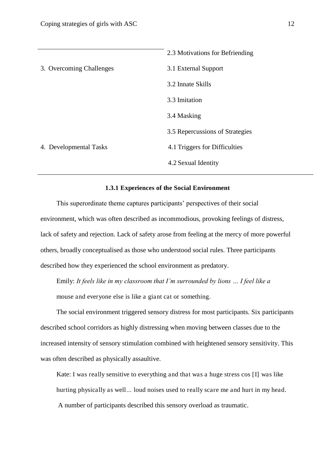|                          | 2.3 Motivations for Befriending |
|--------------------------|---------------------------------|
| 3. Overcoming Challenges | 3.1 External Support            |
|                          | 3.2 Innate Skills               |
|                          | 3.3 Imitation                   |
|                          | 3.4 Masking                     |
|                          | 3.5 Repercussions of Strategies |
| 4. Developmental Tasks   | 4.1 Triggers for Difficulties   |
|                          | 4.2 Sexual Identity             |
|                          |                                 |

## **1.3.1 Experiences of the Social Environment**

This superordinate theme captures participants' perspectives of their social environment, which was often described as incommodious, provoking feelings of distress, lack of safety and rejection. Lack of safety arose from feeling at the mercy of more powerful others, broadly conceptualised as those who understood social rules. Three participants described how they experienced the school environment as predatory.

Emily: *It feels like in my classroom that I'm surrounded by lions … I feel like a*  mouse and everyone else is like a giant cat or something.

The social environment triggered sensory distress for most participants. Six participants described school corridors as highly distressing when moving between classes due to the increased intensity of sensory stimulation combined with heightened sensory sensitivity. This was often described as physically assaultive.

Kate: I was really sensitive to everything and that was a huge stress cos [I] was like hurting physically as well*…* loud noises used to really scare me and hurt in my head. A number of participants described this sensory overload as traumatic.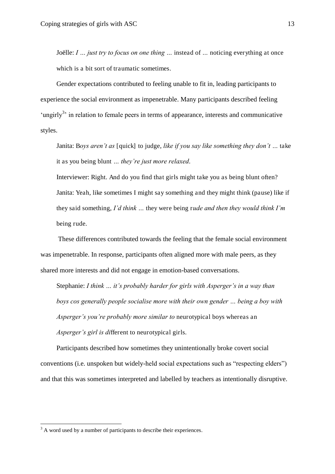Joëlle: *I … just try to focus on one thing …* instead of *…* noticing everything at once which is a bit sort of traumatic sometimes.

Gender expectations contributed to feeling unable to fit in, leading participants to experience the social environment as impenetrable. Many participants described feeling 'ungirly<sup>3</sup>' in relation to female peers in terms of appearance, interests and communicative styles.

Janita: B*oys aren't as* [quick] to judge, *like if you say like something they don't …* take it as you being blunt *… they're just more relaxed*.

Interviewer: Right. And do you find that girls might take you as being blunt often? Janita: Yeah, like sometimes I might say something and they might think (pause) like if they said something, *I'd think …* they were being r*ude and then they would think I'm*  being rude.

These differences contributed towards the feeling that the female social environment was impenetrable. In response, participants often aligned more with male peers, as they shared more interests and did not engage in emotion-based conversations.

Stephanie: *I think … it's probably harder for girls with Asperger's in a way than boys cos generally people socialise more with their own gender … being a boy with Asperger's you're probably more similar to* neurotypical boys whereas an *Asperger's girl is di*fferent to neurotypical girls.

Participants described how sometimes they unintentionally broke covert social conventions (i.e. unspoken but widely-held social expectations such as "respecting elders") and that this was sometimes interpreted and labelled by teachers as intentionally disruptive.

 $\overline{a}$ 

 $3$  A word used by a number of participants to describe their experiences.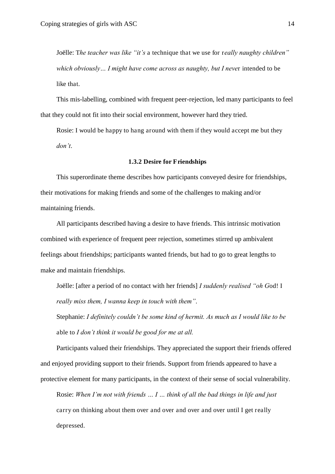Joëlle: T*he teacher was like "it's* a technique that we use for r*eally naughty children" which obviously… I might have come across as naughty, but I neve*r intended to be like that.

This mis-labelling, combined with frequent peer-rejection, led many participants to feel that they could not fit into their social environment, however hard they tried.

Rosie: I would be happy to hang around with them if they would accept me but they *don't*.

#### **1.3.2 Desire for Friendships**

This superordinate theme describes how participants conveyed desire for friendships, their motivations for making friends and some of the challenges to making and/or maintaining friends.

All participants described having a desire to have friends. This intrinsic motivation combined with experience of frequent peer rejection, sometimes stirred up ambivalent feelings about friendships; participants wanted friends, but had to go to great lengths to make and maintain friendships.

Joëlle: [after a period of no contact with her friends] *I suddenly realised "oh G*od! I *really miss them, I wanna keep in touch with them"*.

Stephanie: *I definitely couldn't be some kind of hermit. As much as I would like to be*  able to *I don't think it would be good for me at all.*

Participants valued their friendships. They appreciated the support their friends offered and enjoyed providing support to their friends. Support from friends appeared to have a protective element for many participants, in the context of their sense of social vulnerability.

Rosie: *When I'm not with friends … I … think of all the bad things in life and just*  carry on thinking about them over and over and over and over until I get really depressed.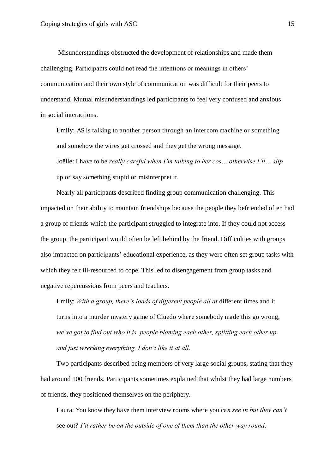Misunderstandings obstructed the development of relationships and made them challenging. Participants could not read the intentions or meanings in others' communication and their own style of communication was difficult for their peers to understand. Mutual misunderstandings led participants to feel very confused and anxious in social interactions.

Emily: AS is talking to another person through an intercom machine or something and somehow the wires get crossed and they get the wrong message.

Joëlle: I have to be *really careful when I'm talking to her cos… otherwise I'll… slip*  up or say something stupid or misinterpret it.

Nearly all participants described finding group communication challenging. This impacted on their ability to maintain friendships because the people they befriended often had a group of friends which the participant struggled to integrate into. If they could not access the group, the participant would often be left behind by the friend. Difficulties with groups also impacted on participants' educational experience, as they were often set group tasks with which they felt ill-resourced to cope. This led to disengagement from group tasks and negative repercussions from peers and teachers.

Emily: *With a group, there's loads of different people all at different times and it* turns into a murder mystery game of Cluedo where somebody made this go wrong, *we've got to find out who it is, people blaming each other, splitting each other up and just wrecking everything. I don't like it at all*.

Two participants described being members of very large social groups, stating that they had around 100 friends. Participants sometimes explained that whilst they had large numbers of friends, they positioned themselves on the periphery.

Laura: You know they have them interview rooms where you ca*n see in but they can't*  see out? *I'd rather be on the outside of one of them than the other way round*.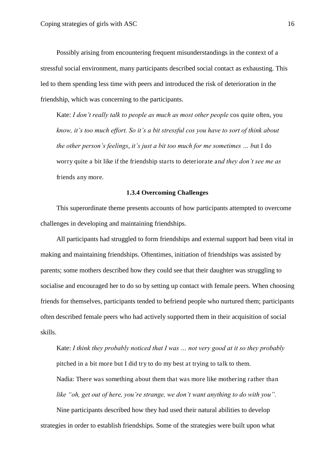Possibly arising from encountering frequent misunderstandings in the context of a stressful social environment, many participants described social contact as exhausting. This led to them spending less time with peers and introduced the risk of deterioration in the friendship, which was concerning to the participants.

Kate: *I don't really talk to people as much as most other people* cos quite often, you *know, it's too much effort. So it's a bit stressful cos you have to sort of think about the other person's feelings*, *it's just a bit too much for me sometimes … b*ut I do worry quite a bit like if the friendship starts to deteriorate an*d they don't see me as*  friends any more.

#### **1.3.4 Overcoming Challenges**

This superordinate theme presents accounts of how participants attempted to overcome challenges in developing and maintaining friendships.

All participants had struggled to form friendships and external support had been vital in making and maintaining friendships. Oftentimes, initiation of friendships was assisted by parents; some mothers described how they could see that their daughter was struggling to socialise and encouraged her to do so by setting up contact with female peers. When choosing friends for themselves, participants tended to befriend people who nurtured them; participants often described female peers who had actively supported them in their acquisition of social skills.

Kate: *I think they probably noticed that I was … not very good at it so they probably*  pitched in a bit more but I did try to do my best at trying to talk to them.

Nadia: There was something about them that was more like mothering rather than *like "oh, get out of here, you're strange, we don't want anything to do with you".*

Nine participants described how they had used their natural abilities to develop strategies in order to establish friendships. Some of the strategies were built upon what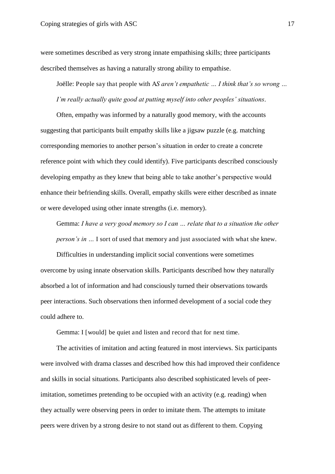were sometimes described as very strong innate empathising skills; three participants described themselves as having a naturally strong ability to empathise.

Joëlle: People say that people with A*S aren't empathetic … I think that's so wrong … I'm really actually quite good at putting myself into other peoples' situations*.

Often, empathy was informed by a naturally good memory, with the accounts suggesting that participants built empathy skills like a jigsaw puzzle (e.g. matching corresponding memories to another person's situation in order to create a concrete reference point with which they could identify). Five participants described consciously developing empathy as they knew that being able to take another's perspective would enhance their befriending skills. Overall, empathy skills were either described as innate or were developed using other innate strengths (i.e. memory).

Gemma: *I have a very good memory so I can … relate that to a situation the other person's in …* I sort of used that memory and just associated with what she knew.

Difficulties in understanding implicit social conventions were sometimes overcome by using innate observation skills. Participants described how they naturally absorbed a lot of information and had consciously turned their observations towards peer interactions. Such observations then informed development of a social code they could adhere to.

Gemma: I [would] be quiet and listen and record that for next time.

The activities of imitation and acting featured in most interviews. Six participants were involved with drama classes and described how this had improved their confidence and skills in social situations. Participants also described sophisticated levels of peerimitation, sometimes pretending to be occupied with an activity (e.g. reading) when they actually were observing peers in order to imitate them. The attempts to imitate peers were driven by a strong desire to not stand out as different to them. Copying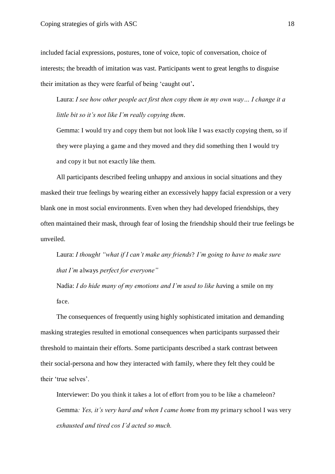included facial expressions, postures, tone of voice, topic of conversation, choice of interests; the breadth of imitation was vast. Participants went to great lengths to disguise their imitation as they were fearful of being 'caught out'**.** 

Laura: *I see how other people act first then copy them in my own way… I change it a little bit so it's not like I'm really copying them*.

Gemma: I would try and copy them but not look like I was exactly copying them, so if they were playing a game and they moved and they did something then I would try and copy it but not exactly like them.

All participants described feeling unhappy and anxious in social situations and they masked their true feelings by wearing either an excessively happy facial expression or a very blank one in most social environments. Even when they had developed friendships, they often maintained their mask, through fear of losing the friendship should their true feelings be unveiled.

Laura: *I thought "what if I can't make any friends*? *I'm going to have to make sure that I'm* always *perfect for everyone"*

Nadia: *I do hide many of my emotions and I'm used to like ha*ving a smile on my face.

The consequences of frequently using highly sophisticated imitation and demanding masking strategies resulted in emotional consequences when participants surpassed their threshold to maintain their efforts. Some participants described a stark contrast between their social-persona and how they interacted with family, where they felt they could be their 'true selves'.

Interviewer: Do you think it takes a lot of effort from you to be like a chameleon? Gemma*: Yes, it's very hard and when I came home* from my primary school I was very *exhausted and tired cos I'd acted so much.*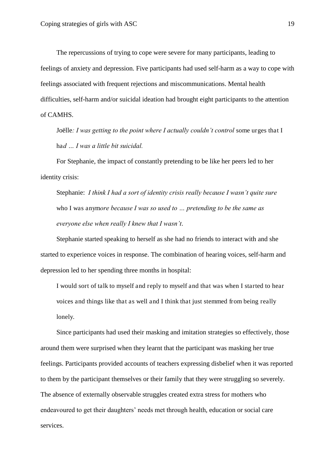The repercussions of trying to cope were severe for many participants, leading to feelings of anxiety and depression. Five participants had used self-harm as a way to cope with feelings associated with frequent rejections and miscommunications. Mental health difficulties, self-harm and/or suicidal ideation had brought eight participants to the attention of CAMHS.

Joëlle*: I was getting to the point where I actually couldn't control* some urges that I ha*d … I was a little bit suicidal.*

For Stephanie, the impact of constantly pretending to be like her peers led to her identity crisis:

Stephanie: *I think I had a sort of identity crisis really because I wasn't quite sure*  who I was anym*ore because I was so used to … pretending to be the same as everyone else when really I knew that I wasn't*.

Stephanie started speaking to herself as she had no friends to interact with and she started to experience voices in response. The combination of hearing voices, self-harm and depression led to her spending three months in hospital:

I would sort of talk to myself and reply to myself and that was when I started to hear voices and things like that as well and I think that just stemmed from being really lonely.

Since participants had used their masking and imitation strategies so effectively, those around them were surprised when they learnt that the participant was masking her true feelings. Participants provided accounts of teachers expressing disbelief when it was reported to them by the participant themselves or their family that they were struggling so severely. The absence of externally observable struggles created extra stress for mothers who endeavoured to get their daughters' needs met through health, education or social care services.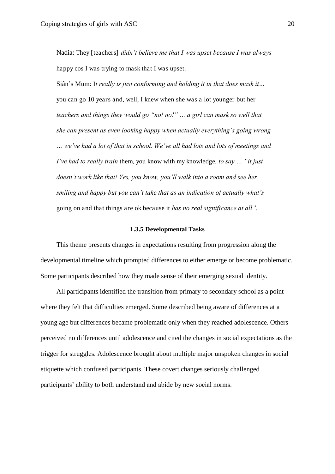Nadia: They [teachers] *didn't believe me that I was upset because I was always*  happy cos I was trying to mask that I was upset.

Siân's Mum: I*t really is just conforming and holding it in that does mask it…*  you can go 10 years and, well, I knew when she was a lot younger but her *teachers and things they would go "no! no!" … a girl can mask so well that she can present as even looking happy when actually everything's going wrong … we've had a lot of that in school. We've all had lots and lots of meetings and I've had to really train* them, you know with my knowledge*, to say … "it just doesn't work like that! Yes, you know, you'll walk into a room and see her smiling and happy but you can't take that as an indication of actually what's*  going on and that things are ok because it *has no real significance at all".*

#### **1.3.5 Developmental Tasks**

 This theme presents changes in expectations resulting from progression along the developmental timeline which prompted differences to either emerge or become problematic. Some participants described how they made sense of their emerging sexual identity.

All participants identified the transition from primary to secondary school as a point where they felt that difficulties emerged. Some described being aware of differences at a young age but differences became problematic only when they reached adolescence. Others perceived no differences until adolescence and cited the changes in social expectations as the trigger for struggles. Adolescence brought about multiple major unspoken changes in social etiquette which confused participants. These covert changes seriously challenged participants' ability to both understand and abide by new social norms.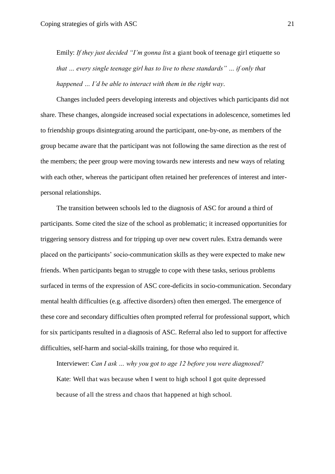Emily: *If they just decided "I'm gonna li*st a giant book of teenage girl etiquette so *that … every single teenage girl has to live to these standards" … if only that happened … I'd be able to interact with them in the right way*.

Changes included peers developing interests and objectives which participants did not share. These changes, alongside increased social expectations in adolescence, sometimes led to friendship groups disintegrating around the participant, one-by-one, as members of the group became aware that the participant was not following the same direction as the rest of the members; the peer group were moving towards new interests and new ways of relating with each other, whereas the participant often retained her preferences of interest and interpersonal relationships.

The transition between schools led to the diagnosis of ASC for around a third of participants. Some cited the size of the school as problematic; it increased opportunities for triggering sensory distress and for tripping up over new covert rules. Extra demands were placed on the participants' socio-communication skills as they were expected to make new friends. When participants began to struggle to cope with these tasks, serious problems surfaced in terms of the expression of ASC core-deficits in socio-communication. Secondary mental health difficulties (e.g. affective disorders) often then emerged. The emergence of these core and secondary difficulties often prompted referral for professional support, which for six participants resulted in a diagnosis of ASC. Referral also led to support for affective difficulties, self-harm and social-skills training, for those who required it.

Interviewer: *Can I ask … why you got to age 12 before you were diagnosed?*  Kate: Well that was because when I went to high school I got quite depressed because of all the stress and chaos that happened at high school.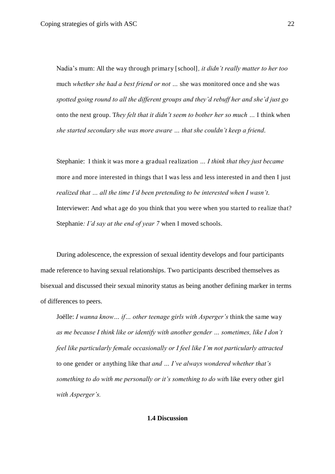Nadia's mum: All the way through primary [school]*, it didn't really matter to her too*  much *whether she had a best friend or not …* she was monitored once and she was *spotted going round to all the different groups and they'd rebuff her and she'd just go*  onto the next group. T*hey felt that it didn't seem to bother her so much …* I think when *she started secondary she was more aware … that she couldn't keep a friend*.

Stephanie: I think it was more a gradual realization *… I think that they just became*  more and more interested in things that I was less and less interested in and then I just *realized that … all the time I'd been pretending to be interested when I wasn't*. Interviewer: And what age do you think that you were when you started to realize that? Stephanie*: I'd say at the end of year 7* when I moved schools.

During adolescence, the expression of sexual identity develops and four participants made reference to having sexual relationships. Two participants described themselves as bisexual and discussed their sexual minority status as being another defining marker in terms of differences to peers.

Joëlle: *I wanna know… if… other teenage girls with Asperger's* think the same way *as me because I think like or identify with another gender … sometimes, like I don't feel like particularly female occasionally or I feel like I'm not particularly attracted*  to one gender or anything like th*at and … I've always wondered whether that's something to do with me personally or it's something to do wit*h like every other girl *with Asperger's.*

## **1.4 Discussion**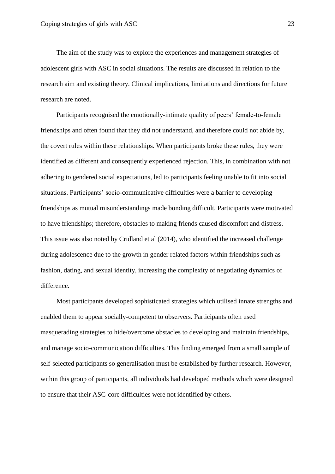The aim of the study was to explore the experiences and management strategies of adolescent girls with ASC in social situations. The results are discussed in relation to the research aim and existing theory. Clinical implications, limitations and directions for future research are noted.

Participants recognised the emotionally-intimate quality of peers' female-to-female friendships and often found that they did not understand, and therefore could not abide by, the covert rules within these relationships. When participants broke these rules, they were identified as different and consequently experienced rejection. This, in combination with not adhering to gendered social expectations, led to participants feeling unable to fit into social situations. Participants' socio-communicative difficulties were a barrier to developing friendships as mutual misunderstandings made bonding difficult. Participants were motivated to have friendships; therefore, obstacles to making friends caused discomfort and distress. This issue was also noted by Cridland et al (2014), who identified the increased challenge during adolescence due to the growth in gender related factors within friendships such as fashion, dating, and sexual identity, increasing the complexity of negotiating dynamics of difference.

Most participants developed sophisticated strategies which utilised innate strengths and enabled them to appear socially-competent to observers. Participants often used masquerading strategies to hide/overcome obstacles to developing and maintain friendships, and manage socio-communication difficulties. This finding emerged from a small sample of self-selected participants so generalisation must be established by further research. However, within this group of participants, all individuals had developed methods which were designed to ensure that their ASC-core difficulties were not identified by others.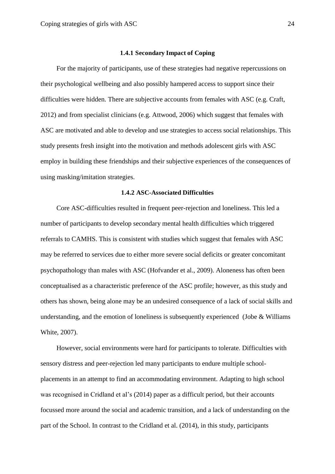#### **1.4.1 Secondary Impact of Coping**

For the majority of participants, use of these strategies had negative repercussions on their psychological wellbeing and also possibly hampered access to support since their difficulties were hidden. There are subjective accounts from females with ASC (e.g. Craft, 2012) and from specialist clinicians (e.g. Attwood, 2006) which suggest that females with ASC are motivated and able to develop and use strategies to access social relationships. This study presents fresh insight into the motivation and methods adolescent girls with ASC employ in building these friendships and their subjective experiences of the consequences of using masking/imitation strategies.

#### **1.4.2 ASC-Associated Difficulties**

Core ASC-difficulties resulted in frequent peer-rejection and loneliness. This led a number of participants to develop secondary mental health difficulties which triggered referrals to CAMHS. This is consistent with studies which suggest that females with ASC may be referred to services due to either more severe social deficits or greater concomitant psychopathology than males with ASC (Hofvander et al., 2009). Aloneness has often been conceptualised as a characteristic preference of the ASC profile; however, as this study and others has shown, being alone may be an undesired consequence of a lack of social skills and understanding, and the emotion of loneliness is subsequently experienced (Jobe & Williams White, 2007).

However, social environments were hard for participants to tolerate. Difficulties with sensory distress and peer-rejection led many participants to endure multiple schoolplacements in an attempt to find an accommodating environment. Adapting to high school was recognised in Cridland et al's (2014) paper as a difficult period, but their accounts focussed more around the social and academic transition, and a lack of understanding on the part of the School. In contrast to the Cridland et al. (2014), in this study, participants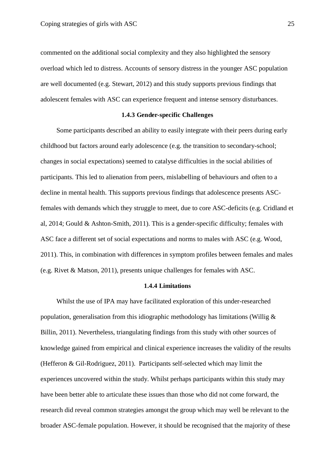commented on the additional social complexity and they also highlighted the sensory overload which led to distress. Accounts of sensory distress in the younger ASC population are well documented (e.g. Stewart, 2012) and this study supports previous findings that adolescent females with ASC can experience frequent and intense sensory disturbances.

## **1.4.3 Gender-specific Challenges**

Some participants described an ability to easily integrate with their peers during early childhood but factors around early adolescence (e.g. the transition to secondary-school; changes in social expectations) seemed to catalyse difficulties in the social abilities of participants. This led to alienation from peers, mislabelling of behaviours and often to a decline in mental health. This supports previous findings that adolescence presents ASCfemales with demands which they struggle to meet, due to core ASC-deficits (e.g. Cridland et al, 2014; Gould & Ashton-Smith, 2011). This is a gender-specific difficulty; females with ASC face a different set of social expectations and norms to males with ASC (e.g. Wood, 2011). This, in combination with differences in symptom profiles between females and males (e.g. Rivet & Matson, 2011), presents unique challenges for females with ASC.

## **1.4.4 Limitations**

Whilst the use of IPA may have facilitated exploration of this under-researched population, generalisation from this idiographic methodology has limitations (Willig  $\&$ Billin, 2011). Nevertheless, triangulating findings from this study with other sources of knowledge gained from empirical and clinical experience increases the validity of the results (Hefferon & Gil-Rodriguez, 2011). Participants self-selected which may limit the experiences uncovered within the study. Whilst perhaps participants within this study may have been better able to articulate these issues than those who did not come forward, the research did reveal common strategies amongst the group which may well be relevant to the broader ASC-female population. However, it should be recognised that the majority of these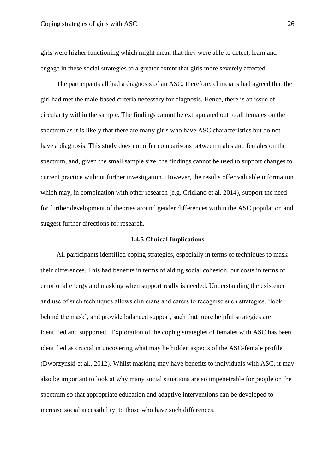girls were higher functioning which might mean that they were able to detect, learn and engage in these social strategies to a greater extent that girls more severely affected.

The participants all had a diagnosis of an ASC; therefore, clinicians had agreed that the girl had met the male-based criteria necessary for diagnosis. Hence, there is an issue of circularity within the sample. The findings cannot be extrapolated out to all females on the spectrum as it is likely that there are many girls who have ASC characteristics but do not have a diagnosis. This study does not offer comparisons between males and females on the spectrum, and, given the small sample size, the findings cannot be used to support changes to current practice without further investigation. However, the results offer valuable information which may, in combination with other research (e.g. Cridland et al. 2014), support the need for further development of theories around gender differences within the ASC population and suggest further directions for research.

#### **1.4.5 Clinical Implications**

All participants identified coping strategies, especially in terms of techniques to mask their differences. This had benefits in terms of aiding social cohesion, but costs in terms of emotional energy and masking when support really is needed. Understanding the existence and use of such techniques allows clinicians and carers to recognise such strategies, 'look behind the mask', and provide balanced support, such that more helpful strategies are identified and supported. Exploration of the coping strategies of females with ASC has been identified as crucial in uncovering what may be hidden aspects of the ASC-female profile (Dworzynski et al., 2012). Whilst masking may have benefits to individuals with ASC, it may also be important to look at why many social situations are so impenetrable for people on the spectrum so that appropriate education and adaptive interventions can be developed to increase social accessibility to those who have such differences.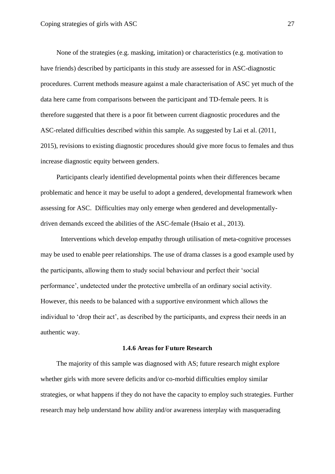None of the strategies (e.g. masking, imitation) or characteristics (e.g. motivation to have friends) described by participants in this study are assessed for in ASC-diagnostic procedures. Current methods measure against a male characterisation of ASC yet much of the data here came from comparisons between the participant and TD-female peers. It is therefore suggested that there is a poor fit between current diagnostic procedures and the ASC-related difficulties described within this sample. As suggested by Lai et al. (2011, 2015), revisions to existing diagnostic procedures should give more focus to females and thus increase diagnostic equity between genders.

Participants clearly identified developmental points when their differences became problematic and hence it may be useful to adopt a gendered, developmental framework when assessing for ASC. Difficulties may only emerge when gendered and developmentallydriven demands exceed the abilities of the ASC-female (Hsaio et al., 2013).

Interventions which develop empathy through utilisation of meta-cognitive processes may be used to enable peer relationships. The use of drama classes is a good example used by the participants, allowing them to study social behaviour and perfect their 'social performance', undetected under the protective umbrella of an ordinary social activity. However, this needs to be balanced with a supportive environment which allows the individual to 'drop their act', as described by the participants, and express their needs in an authentic way.

## **1.4.6 Areas for Future Research**

The majority of this sample was diagnosed with AS; future research might explore whether girls with more severe deficits and/or co-morbid difficulties employ similar strategies, or what happens if they do not have the capacity to employ such strategies. Further research may help understand how ability and/or awareness interplay with masquerading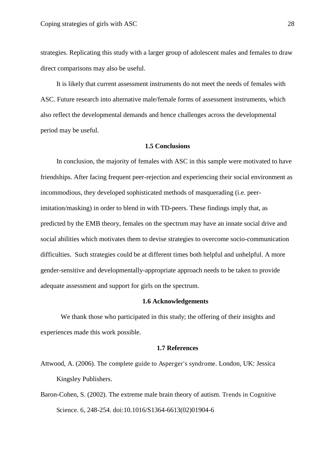strategies. Replicating this study with a larger group of adolescent males and females to draw direct comparisons may also be useful.

It is likely that current assessment instruments do not meet the needs of females with ASC. Future research into alternative male/female forms of assessment instruments, which also reflect the developmental demands and hence challenges across the developmental period may be useful.

## **1.5 Conclusions**

In conclusion, the majority of females with ASC in this sample were motivated to have friendships. After facing frequent peer-rejection and experiencing their social environment as incommodious, they developed sophisticated methods of masquerading (i.e. peerimitation/masking) in order to blend in with TD-peers. These findings imply that, as predicted by the EMB theory, females on the spectrum may have an innate social drive and social abilities which motivates them to devise strategies to overcome socio-communication difficulties. Such strategies could be at different times both helpful and unhelpful. A more gender-sensitive and developmentally-appropriate approach needs to be taken to provide adequate assessment and support for girls on the spectrum.

#### **1.6 Acknowledgements**

We thank those who participated in this study; the offering of their insights and experiences made this work possible.

## **1.7 References**

- Attwood, A. (2006). The complete guide to Asperger's syndrome. London, UK: Jessica Kingsley Publishers.
- Baron-Cohen, S. (2002). The extreme male brain theory of autism. Trends in Cognitive Science. 6, 248-254. doi:10.1016/S1364-6613(02)01904-6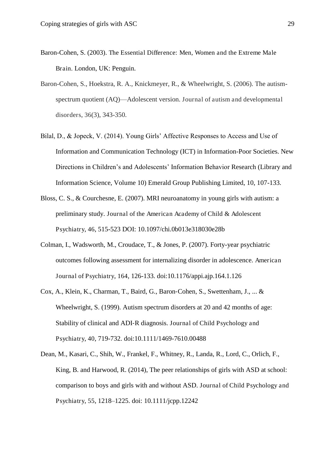- Baron-Cohen, S. (2003). The Essential Difference: Men, Women and the Extreme Male Brain. London, UK: Penguin.
- Baron-Cohen, S., Hoekstra, R. A., Knickmeyer, R., & Wheelwright, S. (2006). The autismspectrum quotient (AQ)—Adolescent version. Journal of autism and developmental disorders, 36(3), 343-350.
- Bilal, D., & Jopeck, V. (2014). Young Girls' Affective Responses to Access and Use of Information and Communication Technology (ICT) in Information-Poor Societies. New Directions in Children's and Adolescents' Information Behavior Research (Library and Information Science, Volume 10) Emerald Group Publishing Limited, 10, 107-133.
- Bloss, C. S., & Courchesne, E. (2007). MRI neuroanatomy in young girls with autism: a preliminary study. Journal of the American Academy of Child & Adolescent Psychiatry, 46, 515-523 DOI: 10.1097/chi.0b013e318030e28b
- Colman, I., Wadsworth, M., Croudace, T., & Jones, P. (2007). Forty-year psychiatric outcomes following assessment for internalizing disorder in adolescence. American Journal of Psychiatry, 164, 126-133. doi:10.1176/appi.ajp.164.1.126
- Cox, A., Klein, K., Charman, T., Baird, G., Baron‐Cohen, S., Swettenham, J., ... & Wheelwright, S. (1999). Autism spectrum disorders at 20 and 42 months of age: Stability of clinical and ADI-R diagnosis. Journal of Child Psychology and Psychiatry, 40, 719-732. doi:10.1111/1469-7610.00488
- Dean, M., Kasari, C., Shih, W., Frankel, F., Whitney, R., Landa, R., Lord, C., Orlich, F., King, B. and Harwood, R. (2014), The peer relationships of girls with ASD at school: comparison to boys and girls with and without ASD. Journal of Child Psychology and Psychiatry, 55, 1218–1225. doi: 10.1111/jcpp.12242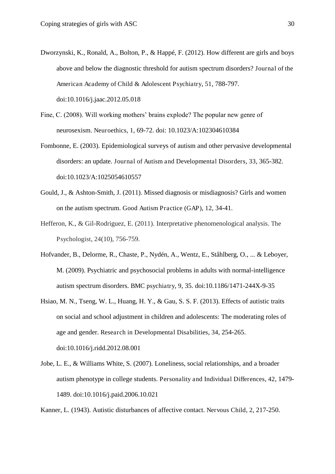- Dworzynski, K., Ronald, A., Bolton, P., & Happé, F. (2012). How different are girls and boys above and below the diagnostic threshold for autism spectrum disorders? Journal of the American Academy of Child & Adolescent Psychiatry, 51, 788-797. doi:10.1016/j.jaac.2012.05.018
- Fine, C. (2008). Will working mothers' brains explode? The popular new genre of neurosexism. Neuroethics, 1, 69-72. doi: 10.1023/A:102304610384
- Fombonne, E. (2003). Epidemiological surveys of autism and other pervasive developmental disorders: an update. Journal of Autism and Developmental Disorders, 33, 365-382. doi:10.1023/A:1025054610557
- Gould, J., & Ashton-Smith, J. (2011). Missed diagnosis or misdiagnosis? Girls and women on the autism spectrum. Good Autism Practice (GAP), 12, 34-41.
- Hefferon, K., & Gil-Rodriguez, E. (2011). Interpretative phenomenological analysis. The Psychologist, 24(10), 756-759.
- Hofvander, B., Delorme, R., Chaste, P., Nydén, A., Wentz, E., Ståhlberg, O., ... & Leboyer, M. (2009). Psychiatric and psychosocial problems in adults with normal-intelligence autism spectrum disorders. BMC psychiatry, 9, 35. doi:10.1186/1471-244X-9-35
- Hsiao, M. N., Tseng, W. L., Huang, H. Y., & Gau, S. S. F. (2013). Effects of autistic traits on social and school adjustment in children and adolescents: The moderating roles of age and gender. Research in Developmental Disabilities, 34, 254-265. doi:10.1016/j.ridd.2012.08.001
- Jobe, L. E., & Williams White, S. (2007). Loneliness, social relationships, and a broader autism phenotype in college students. Personality and Individual Differences, 42, 1479- 1489. doi:10.1016/j.paid.2006.10.021

Kanner, L. (1943). Autistic disturbances of affective contact. Nervous Child, 2, 217-250.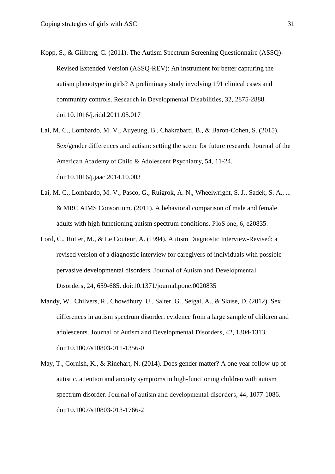- Kopp, S., & Gillberg, C. (2011). The Autism Spectrum Screening Questionnaire (ASSQ)- Revised Extended Version (ASSQ-REV): An instrument for better capturing the autism phenotype in girls? A preliminary study involving 191 clinical cases and community controls. Research in Developmental Disabilities, 32, 2875-2888. doi:10.1016/j.ridd.2011.05.017
- Lai, M. C., Lombardo, M. V., Auyeung, B., Chakrabarti, B., & Baron-Cohen, S. (2015). Sex/gender differences and autism: setting the scene for future research. Journal of the American Academy of Child & Adolescent Psychiatry, 54, 11-24. doi:10.1016/j.jaac.2014.10.003
- Lai, M. C., Lombardo, M. V., Pasco, G., Ruigrok, A. N., Wheelwright, S. J., Sadek, S. A., ... & MRC AIMS Consortium. (2011). A behavioral comparison of male and female adults with high functioning autism spectrum conditions. PloS one, 6, e20835.
- Lord, C., Rutter, M., & Le Couteur, A. (1994). Autism Diagnostic Interview-Revised: a revised version of a diagnostic interview for caregivers of individuals with possible pervasive developmental disorders. Journal of Autism and Developmental Disorders, 24, 659-685. doi:10.1371/journal.pone.0020835
- Mandy, W., Chilvers, R., Chowdhury, U., Salter, G., Seigal, A., & Skuse, D. (2012). Sex differences in autism spectrum disorder: evidence from a large sample of children and adolescents. Journal of Autism and Developmental Disorders, 42, 1304-1313. doi:10.1007/s10803-011-1356-0
- May, T., Cornish, K., & Rinehart, N. (2014). Does gender matter? A one year follow-up of autistic, attention and anxiety symptoms in high-functioning children with autism spectrum disorder. Journal of autism and developmental disorders, 44, 1077-1086. doi:10.1007/s10803-013-1766-2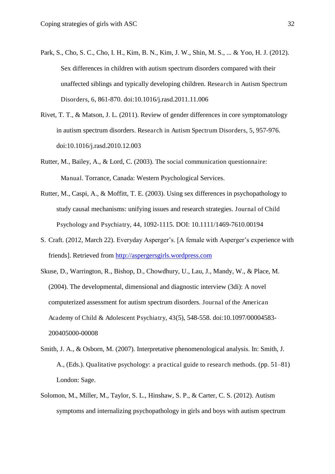- Park, S., Cho, S. C., Cho, I. H., Kim, B. N., Kim, J. W., Shin, M. S., ... & Yoo, H. J. (2012). Sex differences in children with autism spectrum disorders compared with their unaffected siblings and typically developing children. Research in Autism Spectrum Disorders, 6, 861-870. doi:10.1016/j.rasd.2011.11.006
- Rivet, T. T., & Matson, J. L. (2011). Review of gender differences in core symptomatology in autism spectrum disorders. Research in Autism Spectrum Disorders, 5, 957-976. doi:10.1016/j.rasd.2010.12.003
- Rutter, M., Bailey, A., & Lord, C. (2003). The social communication questionnaire: Manual. Torrance, Canada: Western Psychological Services.
- Rutter, M., Caspi, A., & Moffitt, T. E. (2003). Using sex differences in psychopathology to study causal mechanisms: unifying issues and research strategies. Journal of Child Psychology and Psychiatry, 44, 1092-1115. DOI: 10.1111/1469-7610.00194
- S. Craft. (2012, March 22). Everyday Asperger's. [A female with Asperger's experience with friends]. Retrieved from [http://aspergersgirls.wordpress.com](http://aspergersgirls.wordpress.com/)
- Skuse, D., Warrington, R., Bishop, D., Chowdhury, U., Lau, J., Mandy, W., & Place, M. (2004). The developmental, dimensional and diagnostic interview (3di): A novel computerized assessment for autism spectrum disorders. Journal of the American Academy of Child & Adolescent Psychiatry, 43(5), 548-558. doi:10.1097/00004583- 200405000-00008
- Smith, J. A., & Osborn, M. (2007). Interpretative phenomenological analysis. In: Smith, J. A., (Eds.). Qualitative psychology: a practical guide to research methods. (pp. 51–81) London: Sage.
- Solomon, M., Miller, M., Taylor, S. L., Hinshaw, S. P., & Carter, C. S. (2012). Autism symptoms and internalizing psychopathology in girls and boys with autism spectrum